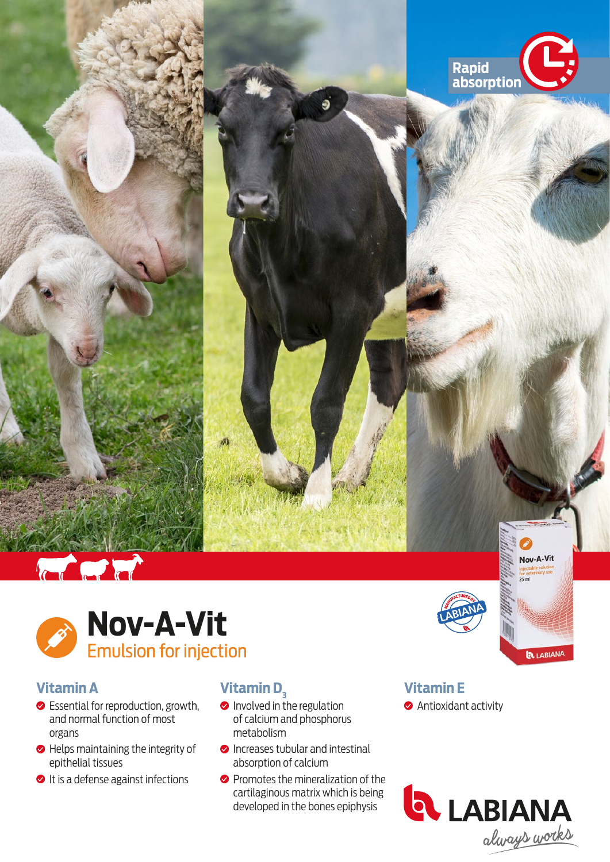





## **Vitamin A**

- **●** Essential for reproduction, growth, and normal function of most organs
- $\bullet$  Helps maintaining the integrity of epithelial tissues
- It is a defense against infections

# **Vitamin D<sub>3</sub>**

- Involved in the regulation of calcium and phosphorus metabolism
- **O** Increases tubular and intestinal absorption of calcium
- **O** Promotes the mineralization of the cartilaginous matrix which is being developed in the bones epiphysis



# **Vitamin E**

**Antioxidant activity**